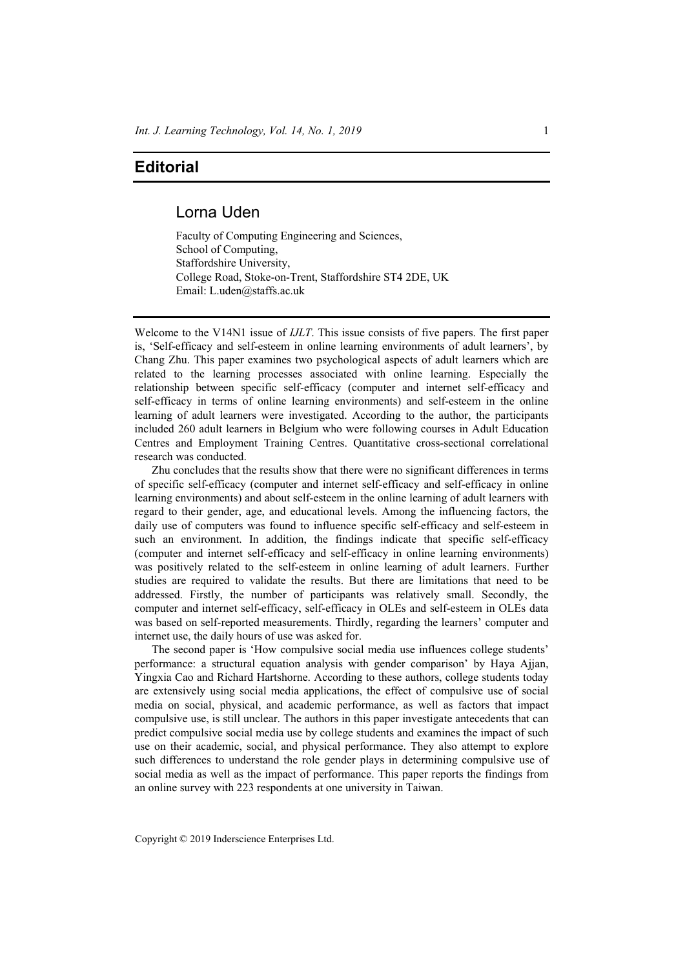## **Editorial**

## Lorna Uden

Faculty of Computing Engineering and Sciences, School of Computing, Staffordshire University, College Road, Stoke-on-Trent, Staffordshire ST4 2DE, UK Email: L.uden@staffs.ac.uk

Welcome to the V14N1 issue of *IJLT*. This issue consists of five papers. The first paper is, 'Self-efficacy and self-esteem in online learning environments of adult learners', by Chang Zhu. This paper examines two psychological aspects of adult learners which are related to the learning processes associated with online learning. Especially the relationship between specific self-efficacy (computer and internet self-efficacy and self-efficacy in terms of online learning environments) and self-esteem in the online learning of adult learners were investigated. According to the author, the participants included 260 adult learners in Belgium who were following courses in Adult Education Centres and Employment Training Centres. Quantitative cross-sectional correlational research was conducted.

Zhu concludes that the results show that there were no significant differences in terms of specific self-efficacy (computer and internet self-efficacy and self-efficacy in online learning environments) and about self-esteem in the online learning of adult learners with regard to their gender, age, and educational levels. Among the influencing factors, the daily use of computers was found to influence specific self-efficacy and self-esteem in such an environment. In addition, the findings indicate that specific self-efficacy (computer and internet self-efficacy and self-efficacy in online learning environments) was positively related to the self-esteem in online learning of adult learners. Further studies are required to validate the results. But there are limitations that need to be addressed. Firstly, the number of participants was relatively small. Secondly, the computer and internet self-efficacy, self-efficacy in OLEs and self-esteem in OLEs data was based on self-reported measurements. Thirdly, regarding the learners' computer and internet use, the daily hours of use was asked for.

The second paper is 'How compulsive social media use influences college students' performance: a structural equation analysis with gender comparison' by Haya Ajjan, Yingxia Cao and Richard Hartshorne. According to these authors, college students today are extensively using social media applications, the effect of compulsive use of social media on social, physical, and academic performance, as well as factors that impact compulsive use, is still unclear. The authors in this paper investigate antecedents that can predict compulsive social media use by college students and examines the impact of such use on their academic, social, and physical performance. They also attempt to explore such differences to understand the role gender plays in determining compulsive use of social media as well as the impact of performance. This paper reports the findings from an online survey with 223 respondents at one university in Taiwan.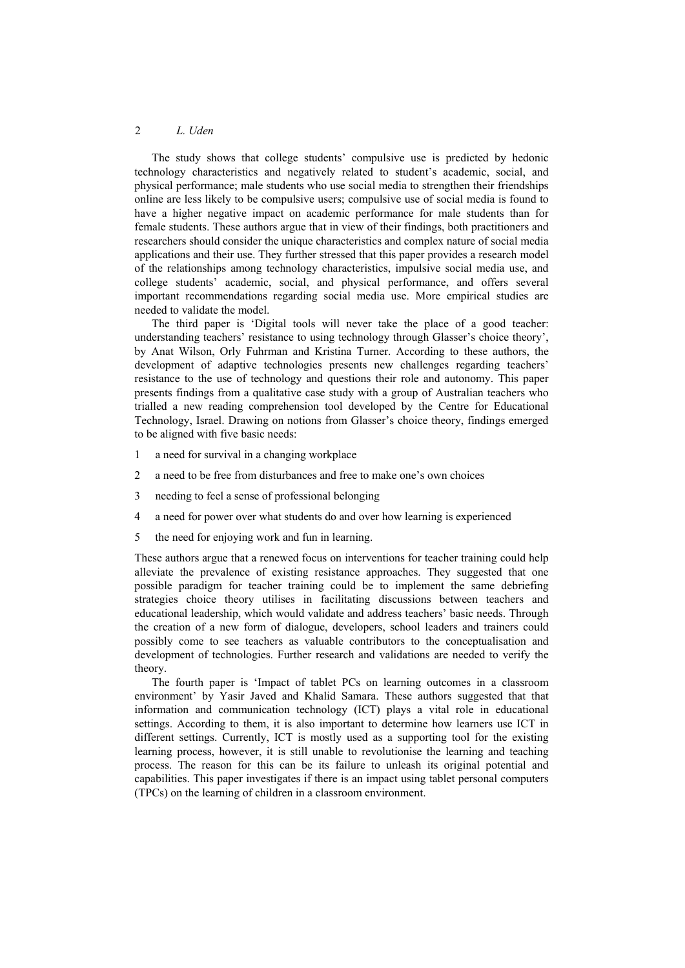## 2 *L. Uden*

The study shows that college students' compulsive use is predicted by hedonic technology characteristics and negatively related to student's academic, social, and physical performance; male students who use social media to strengthen their friendships online are less likely to be compulsive users; compulsive use of social media is found to have a higher negative impact on academic performance for male students than for female students. These authors argue that in view of their findings, both practitioners and researchers should consider the unique characteristics and complex nature of social media applications and their use. They further stressed that this paper provides a research model of the relationships among technology characteristics, impulsive social media use, and college students' academic, social, and physical performance, and offers several important recommendations regarding social media use. More empirical studies are needed to validate the model.

The third paper is 'Digital tools will never take the place of a good teacher: understanding teachers' resistance to using technology through Glasser's choice theory', by Anat Wilson, Orly Fuhrman and Kristina Turner. According to these authors, the development of adaptive technologies presents new challenges regarding teachers' resistance to the use of technology and questions their role and autonomy. This paper presents findings from a qualitative case study with a group of Australian teachers who trialled a new reading comprehension tool developed by the Centre for Educational Technology, Israel. Drawing on notions from Glasser's choice theory, findings emerged to be aligned with five basic needs:

- 1 a need for survival in a changing workplace
- 2 a need to be free from disturbances and free to make one's own choices
- 3 needing to feel a sense of professional belonging
- 4 a need for power over what students do and over how learning is experienced
- 5 the need for enjoying work and fun in learning.

These authors argue that a renewed focus on interventions for teacher training could help alleviate the prevalence of existing resistance approaches. They suggested that one possible paradigm for teacher training could be to implement the same debriefing strategies choice theory utilises in facilitating discussions between teachers and educational leadership, which would validate and address teachers' basic needs. Through the creation of a new form of dialogue, developers, school leaders and trainers could possibly come to see teachers as valuable contributors to the conceptualisation and development of technologies. Further research and validations are needed to verify the theory.

The fourth paper is 'Impact of tablet PCs on learning outcomes in a classroom environment' by Yasir Javed and Khalid Samara. These authors suggested that that information and communication technology (ICT) plays a vital role in educational settings. According to them, it is also important to determine how learners use ICT in different settings. Currently, ICT is mostly used as a supporting tool for the existing learning process, however, it is still unable to revolutionise the learning and teaching process. The reason for this can be its failure to unleash its original potential and capabilities. This paper investigates if there is an impact using tablet personal computers (TPCs) on the learning of children in a classroom environment.